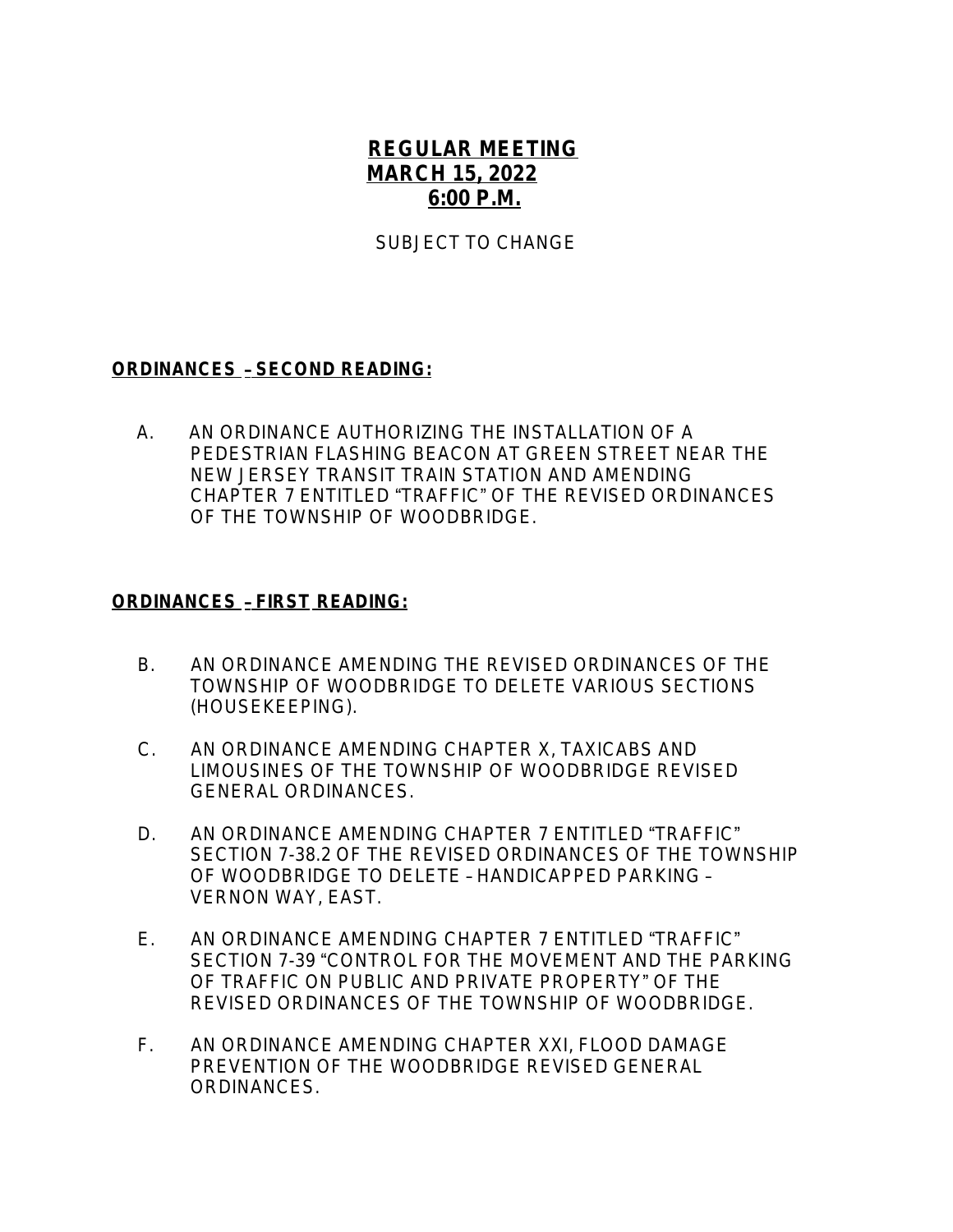## **REGULAR MEETING MARCH 15, 2022 6:00 P.M.**

SUBJECT TO CHANGE

## **ORDINANCES** – **SECOND READING:**

 A.AN ORDINANCE AUTHORIZING THE INSTALLATION OF A PEDESTRIAN FLASHING BEACON AT GREEN STREET NEAR THE NEW JERSEY TRANSIT TRAIN STATION AND AMENDING CHAPTER 7 ENTITLED "TRAFFIC" OF THE REVISED ORDINANCES OF THE TOWNSHIP OF WOODBRIDGE.

## **ORDINANCES** – **FIRST READING:**

- B.AN ORDINANCE AMENDING THE REVISED ORDINANCES OF THE TOWNSHIP OF WOODBRIDGE TO DELETE VARIOUS SECTIONS (HOUSEKEEPING).
- C. AN ORDINANCE AMENDING CHAPTER X, TAXICABS AND LIMOUSINES OF THE TOWNSHIP OF WOODBRIDGE REVISED GENERAL ORDINANCES.
- D. AN ORDINANCE AMENDING CHAPTER 7 ENTITLED "TRAFFIC" SECTION 7-38.2 OF THE REVISED ORDINANCES OF THE TOWNSHIP OF WOODBRIDGE TO DELETE – HANDICAPPED PARKING – VERNON WAY, EAST.
- E. AN ORDINANCE AMENDING CHAPTER 7 ENTITLED "TRAFFIC" SECTION 7-39 "CONTROL FOR THE MOVEMENT AND THE PARKING OF TRAFFIC ON PUBLIC AND PRIVATE PROPERTY" OF THE REVISED ORDINANCES OF THE TOWNSHIP OF WOODBRIDGE.
- F. AN ORDINANCE AMENDING CHAPTER XXI, FLOOD DAMAGE PREVENTION OF THE WOODBRIDGE REVISED GENERAL ORDINANCES.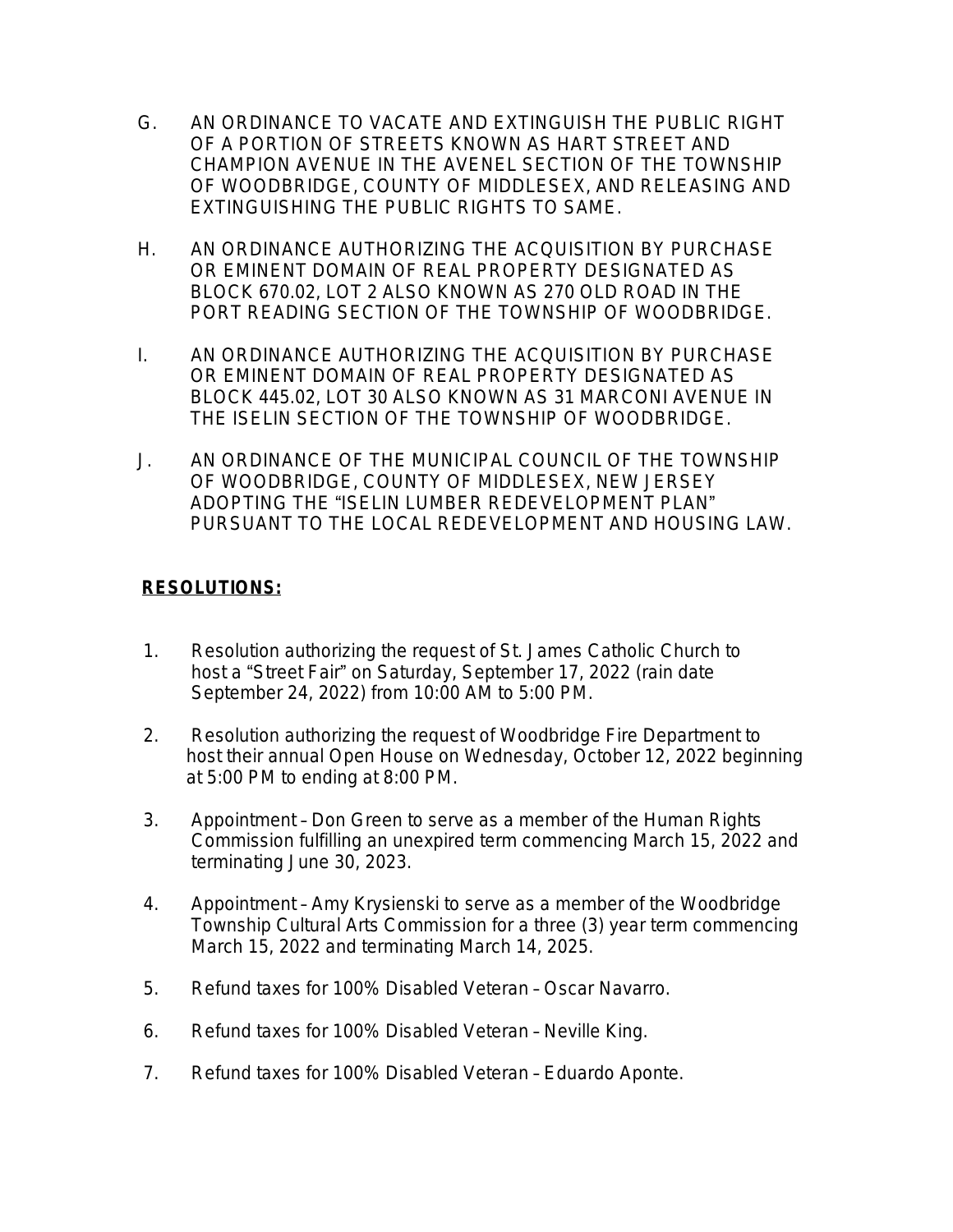- G. AN ORDINANCE TO VACATE AND EXTINGUISH THE PUBLIC RIGHT OF A PORTION OF STREETS KNOWN AS HART STREET AND CHAMPION AVENUE IN THE AVENEL SECTION OF THE TOWNSHIP OF WOODBRIDGE, COUNTY OF MIDDLESEX, AND RELEASING AND EXTINGUISHING THE PUBLIC RIGHTS TO SAME.
- H. AN ORDINANCE AUTHORIZING THE ACQUISITION BY PURCHASE OR EMINENT DOMAIN OF REAL PROPERTY DESIGNATED AS BLOCK 670.02, LOT 2 ALSO KNOWN AS 270 OLD ROAD IN THE PORT READING SECTION OF THE TOWNSHIP OF WOODBRIDGE.
- I. AN ORDINANCE AUTHORIZING THE ACQUISITION BY PURCHASE OR EMINENT DOMAIN OF REAL PROPERTY DESIGNATED AS BLOCK 445.02, LOT 30 ALSO KNOWN AS 31 MARCONI AVENUE IN THE ISELIN SECTION OF THE TOWNSHIP OF WOODBRIDGE.
- J. AN ORDINANCE OF THE MUNICIPAL COUNCIL OF THE TOWNSHIP OF WOODBRIDGE, COUNTY OF MIDDLESEX, NEW JERSEY ADOPTING THE "ISELIN LUMBER REDEVELOPMENT PLAN" PURSUANT TO THE LOCAL REDEVELOPMENT AND HOUSING LAW.

## **RESOLUTIONS:**

- 1. Resolution authorizing the request of St. James Catholic Church to host a "Street Fair" on Saturday, September 17, 2022 (rain date September 24, 2022) from 10:00 AM to 5:00 PM.
- 2. Resolution authorizing the request of Woodbridge Fire Department to host their annual Open House on Wednesday, October 12, 2022 beginning at 5:00 PM to ending at 8:00 PM.
- 3. Appointment Don Green to serve as a member of the Human Rights Commission fulfilling an unexpired term commencing March 15, 2022 and terminating June 30, 2023.
- 4. Appointment Amy Krysienski to serve as a member of the Woodbridge Township Cultural Arts Commission for a three (3) year term commencing March 15, 2022 and terminating March 14, 2025.
- 5. Refund taxes for 100% Disabled Veteran Oscar Navarro.
- 6. Refund taxes for 100% Disabled Veteran Neville King.
- 7. Refund taxes for 100% Disabled Veteran Eduardo Aponte.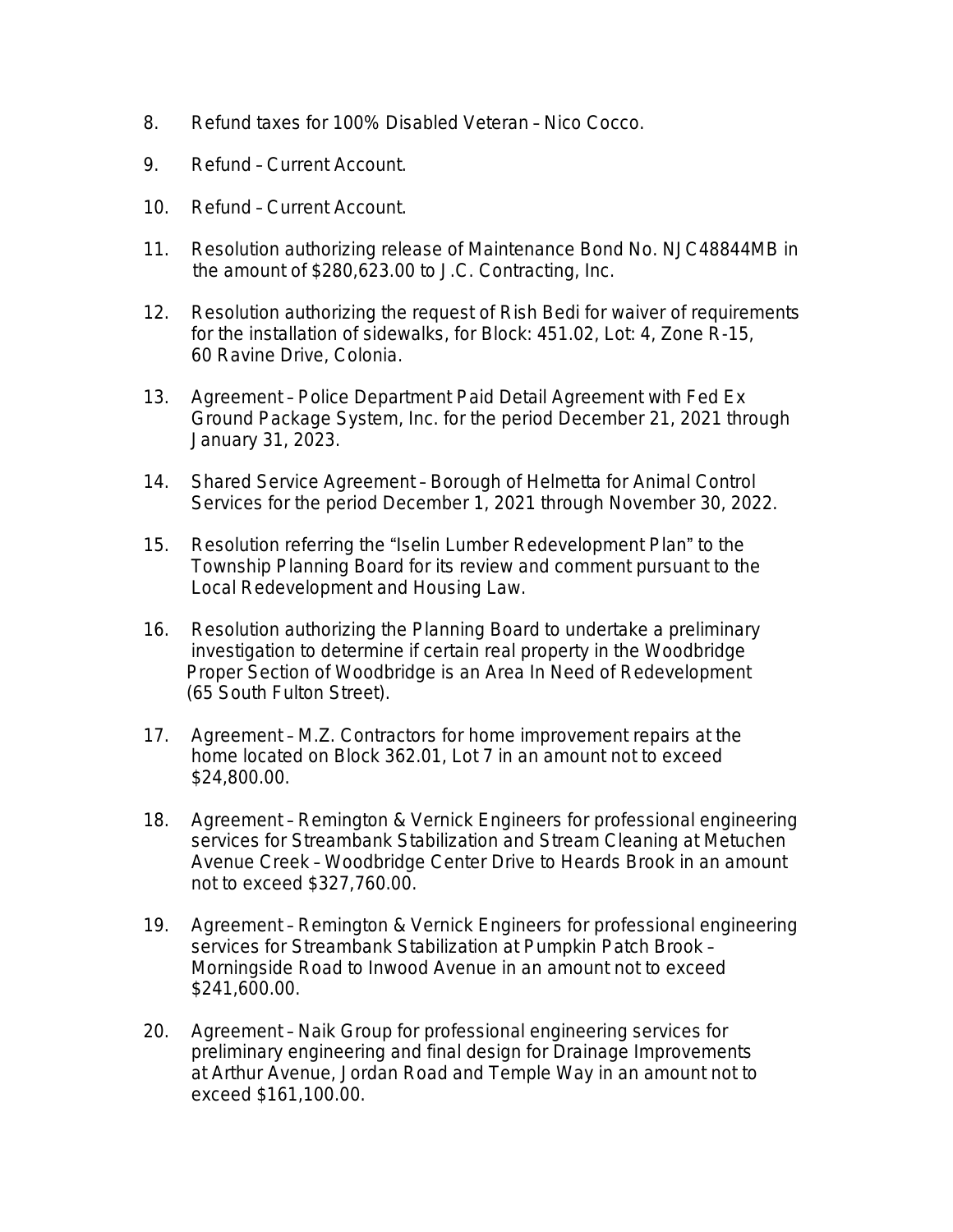- 8. Refund taxes for 100% Disabled Veteran Nico Cocco.
- 9. Refund Current Account.
- 10. Refund Current Account.
- 11. Resolution authorizing release of Maintenance Bond No. NJC48844MB in the amount of \$280,623.00 to J.C. Contracting, Inc.
- 12. Resolution authorizing the request of Rish Bedi for waiver of requirements for the installation of sidewalks, for Block: 451.02, Lot: 4, Zone R-15, 60 Ravine Drive, Colonia.
- 13. Agreement Police Department Paid Detail Agreement with Fed Ex Ground Package System, Inc. for the period December 21, 2021 through January 31, 2023.
- 14. Shared Service Agreement Borough of Helmetta for Animal Control Services for the period December 1, 2021 through November 30, 2022.
- 15. Resolution referring the "Iselin Lumber Redevelopment Plan" to the Township Planning Board for its review and comment pursuant to the Local Redevelopment and Housing Law.
- 16. Resolution authorizing the Planning Board to undertake a preliminary investigation to determine if certain real property in the Woodbridge Proper Section of Woodbridge is an Area In Need of Redevelopment (65 South Fulton Street).
- 17. Agreement M.Z. Contractors for home improvement repairs at the home located on Block 362.01, Lot 7 in an amount not to exceed \$24,800.00.
- 18. Agreement Remington & Vernick Engineers for professional engineering services for Streambank Stabilization and Stream Cleaning at Metuchen Avenue Creek – Woodbridge Center Drive to Heards Brook in an amount not to exceed \$327,760.00.
- 19. Agreement Remington & Vernick Engineers for professional engineering services for Streambank Stabilization at Pumpkin Patch Brook – Morningside Road to Inwood Avenue in an amount not to exceed \$241,600.00.
- 20. Agreement Naik Group for professional engineering services for preliminary engineering and final design for Drainage Improvements at Arthur Avenue, Jordan Road and Temple Way in an amount not to exceed \$161,100.00.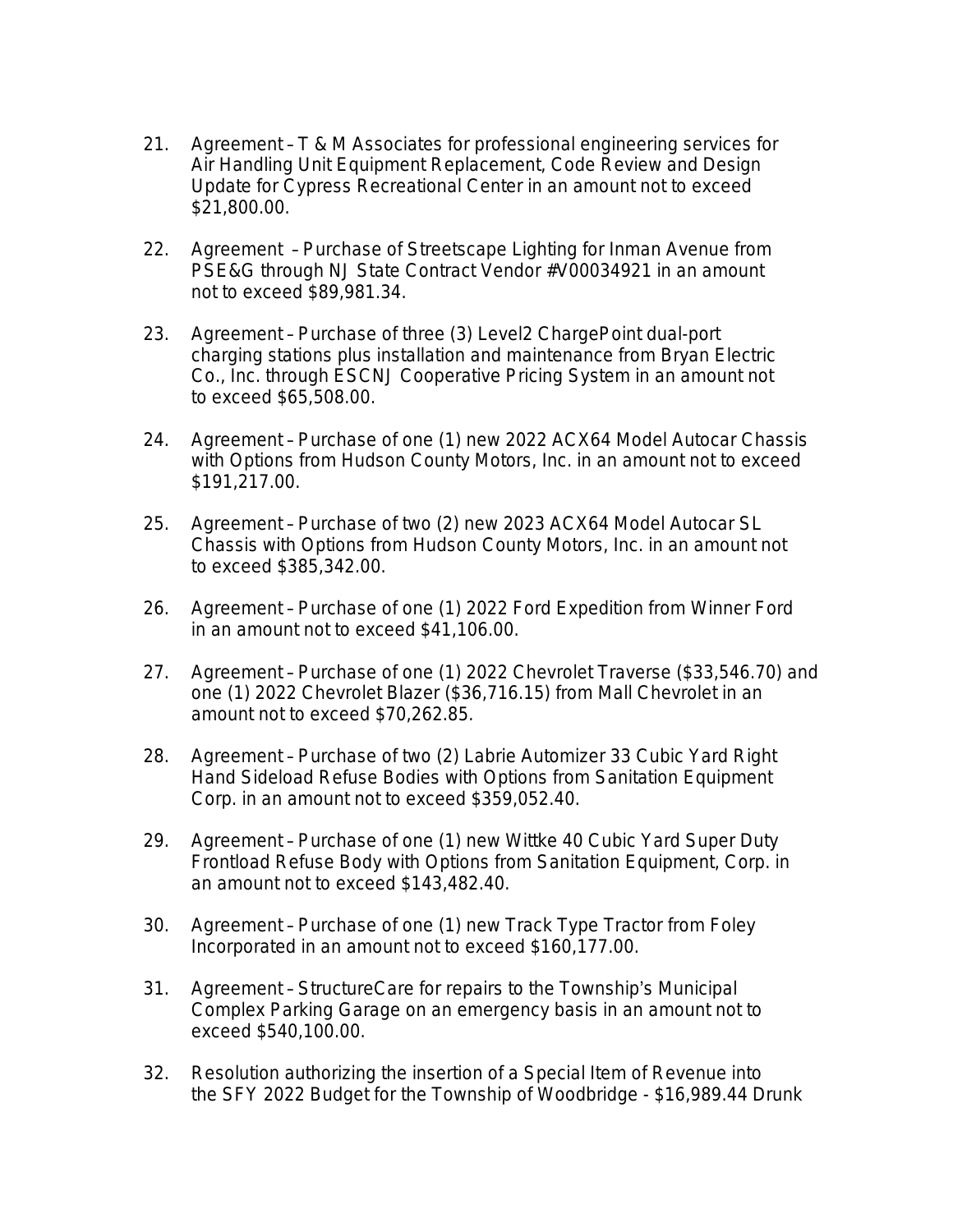- 21. Agreement T & M Associates for professional engineering services for Air Handling Unit Equipment Replacement, Code Review and Design Update for Cypress Recreational Center in an amount not to exceed \$21,800.00.
- 22. Agreement Purchase of Streetscape Lighting for Inman Avenue from PSE&G through NJ State Contract Vendor #V00034921 in an amount not to exceed \$89,981.34.
- 23. Agreement Purchase of three (3) Level2 ChargePoint dual-port charging stations plus installation and maintenance from Bryan Electric Co., Inc. through ESCNJ Cooperative Pricing System in an amount not to exceed \$65,508.00.
- 24. Agreement Purchase of one (1) new 2022 ACX64 Model Autocar Chassis with Options from Hudson County Motors, Inc. in an amount not to exceed \$191,217.00.
- 25. Agreement Purchase of two (2) new 2023 ACX64 Model Autocar SL Chassis with Options from Hudson County Motors, Inc. in an amount not to exceed \$385,342.00.
- 26. Agreement Purchase of one (1) 2022 Ford Expedition from Winner Ford in an amount not to exceed \$41,106.00.
- 27. Agreement Purchase of one (1) 2022 Chevrolet Traverse (\$33,546.70) and one (1) 2022 Chevrolet Blazer (\$36,716.15) from Mall Chevrolet in an amount not to exceed \$70,262.85.
- 28. Agreement Purchase of two (2) Labrie Automizer 33 Cubic Yard Right Hand Sideload Refuse Bodies with Options from Sanitation Equipment Corp. in an amount not to exceed \$359,052.40.
- 29. Agreement Purchase of one (1) new Wittke 40 Cubic Yard Super Duty Frontload Refuse Body with Options from Sanitation Equipment, Corp. in an amount not to exceed \$143,482.40.
- 30. Agreement Purchase of one (1) new Track Type Tractor from Foley Incorporated in an amount not to exceed \$160,177.00.
- 31. Agreement StructureCare for repairs to the Township's Municipal Complex Parking Garage on an emergency basis in an amount not to exceed \$540,100.00.
- 32. Resolution authorizing the insertion of a Special Item of Revenue into the SFY 2022 Budget for the Township of Woodbridge - \$16,989.44 Drunk